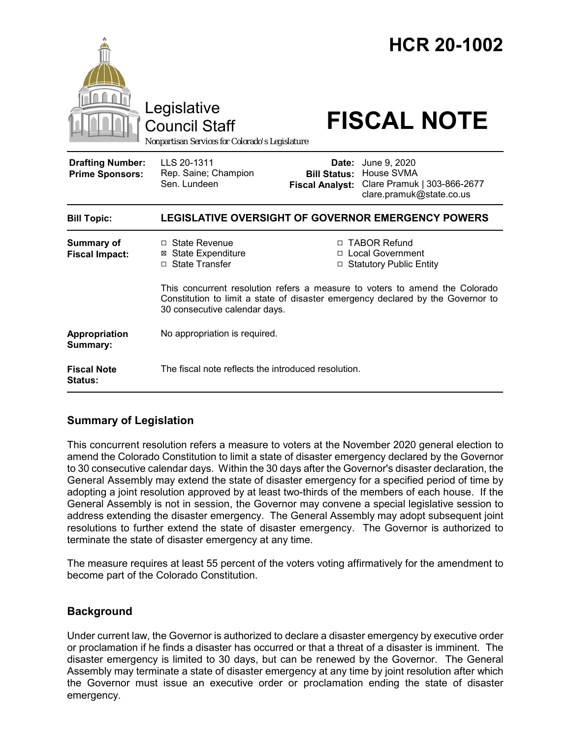|                                                   | Legislative<br><b>Council Staff</b><br>Nonpartisan Services for Colorado's Legislature                                                                                                          |                                                                   | <b>HCR 20-1002</b><br><b>FISCAL NOTE</b>                                              |
|---------------------------------------------------|-------------------------------------------------------------------------------------------------------------------------------------------------------------------------------------------------|-------------------------------------------------------------------|---------------------------------------------------------------------------------------|
| <b>Drafting Number:</b><br><b>Prime Sponsors:</b> | LLS 20-1311<br>Rep. Saine; Champion<br>Sen. Lundeen                                                                                                                                             | Date:<br><b>Bill Status:</b><br><b>Fiscal Analyst:</b>            | June 9, 2020<br>House SVMA<br>Clare Pramuk   303-866-2677<br>clare.pramuk@state.co.us |
| <b>Bill Topic:</b>                                | <b>LEGISLATIVE OVERSIGHT OF GOVERNOR EMERGENCY POWERS</b>                                                                                                                                       |                                                                   |                                                                                       |
| <b>Summary of</b><br><b>Fiscal Impact:</b>        | $\Box$ State Revenue<br><b>⊠</b> State Expenditure<br>□ State Transfer                                                                                                                          | □ TABOR Refund<br>□ Local Government<br>□ Statutory Public Entity |                                                                                       |
|                                                   | This concurrent resolution refers a measure to voters to amend the Colorado<br>Constitution to limit a state of disaster emergency declared by the Governor to<br>30 consecutive calendar days. |                                                                   |                                                                                       |
| Appropriation<br>Summary:                         | No appropriation is required.                                                                                                                                                                   |                                                                   |                                                                                       |
| <b>Fiscal Note</b><br>Status:                     | The fiscal note reflects the introduced resolution.                                                                                                                                             |                                                                   |                                                                                       |

# **Summary of Legislation**

This concurrent resolution refers a measure to voters at the November 2020 general election to amend the Colorado Constitution to limit a state of disaster emergency declared by the Governor to 30 consecutive calendar days. Within the 30 days after the Governor's disaster declaration, the General Assembly may extend the state of disaster emergency for a specified period of time by adopting a joint resolution approved by at least two-thirds of the members of each house. If the General Assembly is not in session, the Governor may convene a special legislative session to address extending the disaster emergency. The General Assembly may adopt subsequent joint resolutions to further extend the state of disaster emergency. The Governor is authorized to terminate the state of disaster emergency at any time.

The measure requires at least 55 percent of the voters voting affirmatively for the amendment to become part of the Colorado Constitution.

# **Background**

Under current law, the Governor is authorized to declare a disaster emergency by executive order or proclamation if he finds a disaster has occurred or that a threat of a disaster is imminent. The disaster emergency is limited to 30 days, but can be renewed by the Governor. The General Assembly may terminate a state of disaster emergency at any time by joint resolution after which the Governor must issue an executive order or proclamation ending the state of disaster emergency.